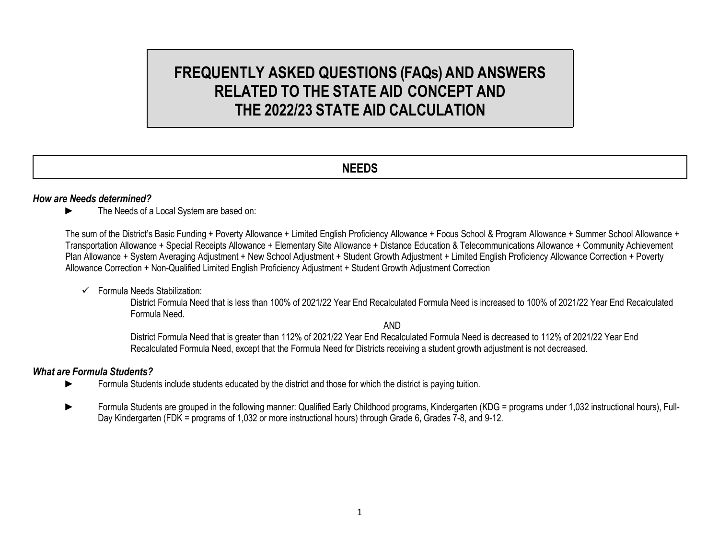# **FREQUENTLY ASKED QUESTIONS (FAQs) AND ANSWERS RELATED TO THE STATE AID CONCEPT AND THE 2022/23 STATE AID CALCULATION**

# **NEEDS**

#### *How are Needs determined?*

The Needs of a Local System are based on:

The sum of the District's Basic Funding + Poverty Allowance + Limited English Proficiency Allowance + Focus School & Program Allowance + Summer School Allowance + Transportation Allowance + Special Receipts Allowance + Elementary Site Allowance + Distance Education & Telecommunications Allowance + Community Achievement Plan Allowance + System Averaging Adjustment + New School Adjustment + Student Growth Adjustment + Limited English Proficiency Allowance Correction + Poverty Allowance Correction + Non-Qualified Limited English Proficiency Adjustment + Student Growth Adjustment Correction

 $\checkmark$  Formula Needs Stabilization:

District Formula Need that is less than 100% of 2021/22 Year End Recalculated Formula Need is increased to 100% of 2021/22 Year End Recalculated Formula Need.

AND

District Formula Need that is greater than 112% of 2021/22 Year End Recalculated Formula Need is decreased to 112% of 2021/22 Year End Recalculated Formula Need, except that the Formula Need for Districts receiving a student growth adjustment is not decreased.

#### *What are Formula Students?*

- ► Formula Students include students educated by the district and those for which the district is paying tuition.
- ► Formula Students are grouped in the following manner: Qualified Early Childhood programs, Kindergarten (KDG = programs under 1,032 instructional hours), Full-Day Kindergarten (FDK = programs of 1,032 or more instructional hours) through Grade 6, Grades 7-8, and 9-12.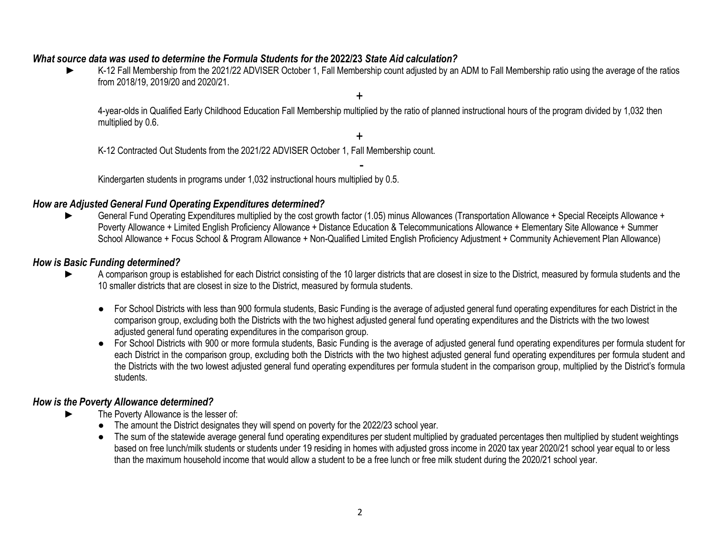#### *What source data was used to determine the Formula Students for the* **2022/23** *State Aid calculation?*

K-12 Fall Membership from the 2021/22 ADVISER October 1, Fall Membership count adjusted by an ADM to Fall Membership ratio using the average of the ratios from 2018/19, 2019/20 and 2020/21.

+

4-year-olds in Qualified Early Childhood Education Fall Membership multiplied by the ratio of planned instructional hours of the program divided by 1,032 then multiplied by 0.6.

+ K-12 Contracted Out Students from the 2021/22 ADVISER October 1, Fall Membership count.

- Kindergarten students in programs under 1,032 instructional hours multiplied by 0.5.

#### *How are Adjusted General Fund Operating Expenditures determined?*

General Fund Operating Expenditures multiplied by the cost growth factor (1.05) minus Allowances (Transportation Allowance + Special Receipts Allowance + Poverty Allowance + Limited English Proficiency Allowance + Distance Education & Telecommunications Allowance + Elementary Site Allowance + Summer School Allowance + Focus School & Program Allowance + Non-Qualified Limited English Proficiency Adjustment + Community Achievement Plan Allowance)

#### *How is Basic Funding determined?*

- A comparison group is established for each District consisting of the 10 larger districts that are closest in size to the District, measured by formula students and the 10 smaller districts that are closest in size to the District, measured by formula students.
	- For School Districts with less than 900 formula students, Basic Funding is the average of adjusted general fund operating expenditures for each District in the comparison group, excluding both the Districts with the two highest adjusted general fund operating expenditures and the Districts with the two lowest adjusted general fund operating expenditures in the comparison group.
	- For School Districts with 900 or more formula students, Basic Funding is the average of adjusted general fund operating expenditures per formula student for each District in the comparison group, excluding both the Districts with the two highest adjusted general fund operating expenditures per formula student and the Districts with the two lowest adjusted general fund operating expenditures per formula student in the comparison group, multiplied by the District's formula students.

#### *How is the Poverty Allowance determined?*

- The Poverty Allowance is the lesser of:
	- The amount the District designates they will spend on poverty for the 2022/23 school year.
	- The sum of the statewide average general fund operating expenditures per student multiplied by graduated percentages then multiplied by student weightings based on free lunch/milk students or students under 19 residing in homes with adjusted gross income in 2020 tax year 2020/21 school year equal to or less than the maximum household income that would allow a student to be a free lunch or free milk student during the 2020/21 school year.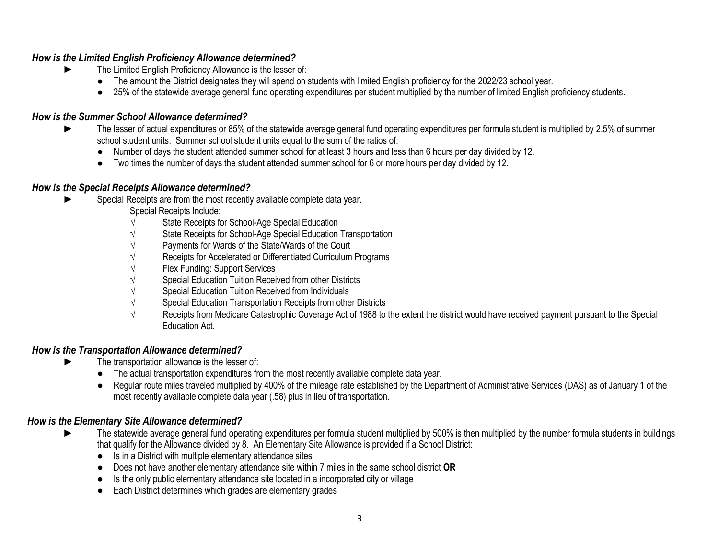### *How is the Limited English Proficiency Allowance determined?*

- The Limited English Proficiency Allowance is the lesser of:
	- The amount the District designates they will spend on students with limited English proficiency for the 2022/23 school year.
	- 25% of the statewide average general fund operating expenditures per student multiplied by the number of limited English proficiency students.

### *How is the Summer School Allowance determined?*

- The lesser of actual expenditures or 85% of the statewide average general fund operating expenditures per formula student is multiplied by 2.5% of summer school student units. Summer school student units equal to the sum of the ratios of:
	- Number of days the student attended summer school for at least 3 hours and less than 6 hours per day divided by 12.
	- Two times the number of days the student attended summer school for 6 or more hours per day divided by 12.

## *How is the Special Receipts Allowance determined?*

- Special Receipts are from the most recently available complete data year.
	- Special Receipts Include:
	- State Receipts for School-Age Special Education
	- State Receipts for School-Age Special Education Transportation
	- Payments for Wards of the State/Wards of the Court
	- Receipts for Accelerated or Differentiated Curriculum Programs
	- Flex Funding: Support Services
	- √ Special Education Tuition Received from other Districts
	- √ Special Education Tuition Received from Individuals
	- Special Education Transportation Receipts from other Districts
	- Receipts from Medicare Catastrophic Coverage Act of 1988 to the extent the district would have received payment pursuant to the Special Education Act.

# *How is the Transportation Allowance determined?*

- The transportation allowance is the lesser of:
	- The actual transportation expenditures from the most recently available complete data year.
	- Regular route miles traveled multiplied by 400% of the mileage rate established by the Department of Administrative Services (DAS) as of January 1 of the most recently available complete data year (.58) plus in lieu of transportation.

#### *How is the Elementary Site Allowance determined?*

- The statewide average general fund operating expenditures per formula student multiplied by 500% is then multiplied by the number formula students in buildings that qualify for the Allowance divided by 8. An Elementary Site Allowance is provided if a School District:
	- Is in a District with multiple elementary attendance sites
	- Does not have another elementary attendance site within 7 miles in the same school district **OR**
	- Is the only public elementary attendance site located in a incorporated city or village
	- Each District determines which grades are elementary grades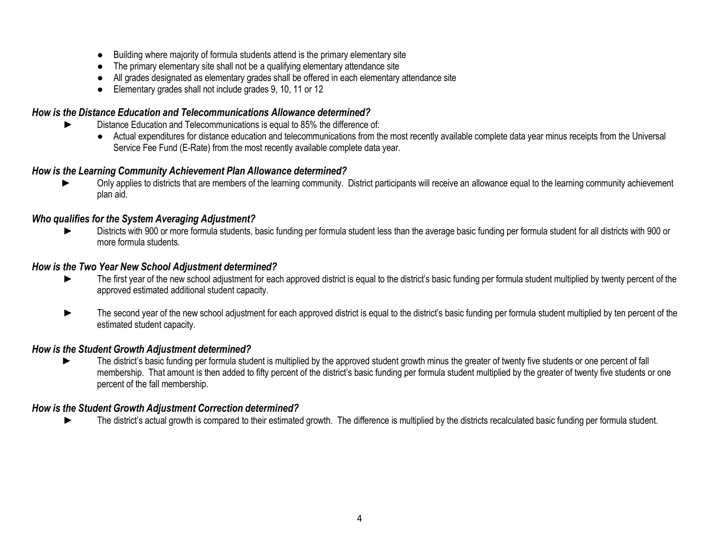- Building where majority of formula students attend is the primary elementary site
- The primary elementary site shall not be a qualifying elementary attendance site
- All grades designated as elementary grades shall be offered in each elementary attendance site
- Elementary grades shall not include grades 9, 10, 11 or 12

# *How is the Distance Education and Telecommunications Allowance determined?*

- ► Distance Education and Telecommunications is equal to 85% the difference of:
	- Actual expenditures for distance education and telecommunications from the most recently available complete data year minus receipts from the Universal Service Fee Fund (E-Rate) from the most recently available complete data year.

## *How is the Learning Community Achievement Plan Allowance determined?*

Only applies to districts that are members of the learning community. District participants will receive an allowance equal to the learning community achievement plan aid.

## *Who qualifies for the System Averaging Adjustment?*

Districts with 900 or more formula students, basic funding per formula student less than the average basic funding per formula student for all districts with 900 or more formula students.

#### *How is the Two Year New School Adjustment determined?*

- ► The first year of the new school adjustment for each approved district is equal to the district's basic funding per formula student multiplied by twenty percent of the approved estimated additional student capacity.
- The second year of the new school adjustment for each approved district is equal to the district's basic funding per formula student multiplied by ten percent of the estimated student capacity.

#### *How is the Student Growth Adjustment determined?*

The district's basic funding per formula student is multiplied by the approved student growth minus the greater of twenty five students or one percent of fall membership. That amount is then added to fifty percent of the district's basic funding per formula student multiplied by the greater of twenty five students or one percent of the fall membership.

#### *How is the Student Growth Adjustment Correction determined?*

► The district's actual growth is compared to their estimated growth. The difference is multiplied by the districts recalculated basic funding per formula student.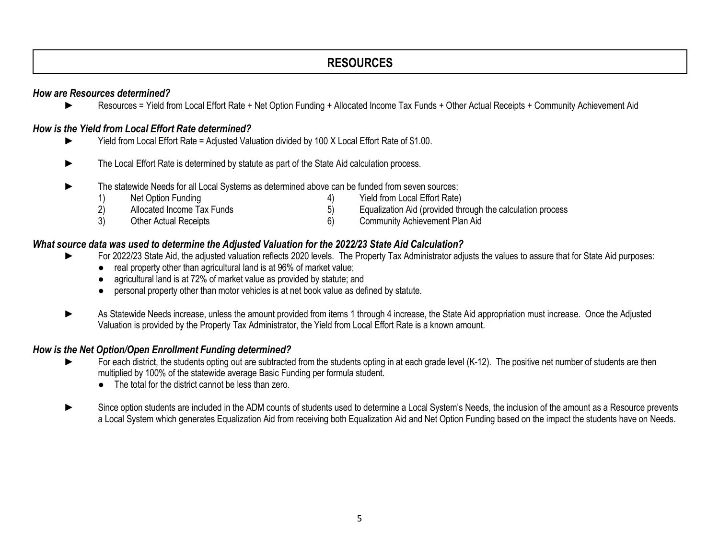# **RESOURCES**

#### *How are Resources determined?*

► Resources = Yield from Local Effort Rate + Net Option Funding + Allocated Income Tax Funds + Other Actual Receipts + Community Achievement Aid

#### *How is the Yield from Local Effort Rate determined?*

- ► Yield from Local Effort Rate = Adjusted Valuation divided by 100 X Local Effort Rate of \$1.00.
- ► The Local Effort Rate is determined by statute as part of the State Aid calculation process.
- The statewide Needs for all Local Systems as determined above can be funded from seven sources:
	- 1) Net Option Funding 1988 (1998) 1998 (1999) 1999 (1999) 1999 (1999) 1999 (1999) 1999 (1999) 1999 (1999) 199 2) Allocated Income Tax Funds 5) Equalization Aid (provided through the calculation process 3) Other Actual Receipts 6) Community Achievement Plan Aid

#### *What source data was used to determine the Adjusted Valuation for the 2022/23 State Aid Calculation?*

- For 2022/23 State Aid, the adjusted valuation reflects 2020 levels. The Property Tax Administrator adjusts the values to assure that for State Aid purposes:
	- real property other than agricultural land is at 96% of market value;
	- agricultural land is at 72% of market value as provided by statute; and
	- personal property other than motor vehicles is at net book value as defined by statute.
- As Statewide Needs increase, unless the amount provided from items 1 through 4 increase, the State Aid appropriation must increase. Once the Adjusted Valuation is provided by the Property Tax Administrator, the Yield from Local Effort Rate is a known amount.

#### *How is the Net Option/Open Enrollment Funding determined?*

- For each district, the students opting out are subtracted from the students opting in at each grade level (K-12). The positive net number of students are then multiplied by 100% of the statewide average Basic Funding per formula student.
	- The total for the district cannot be less than zero.
- Since option students are included in the ADM counts of students used to determine a Local System's Needs, the inclusion of the amount as a Resource prevents a Local System which generates Equalization Aid from receiving both Equalization Aid and Net Option Funding based on the impact the students have on Needs.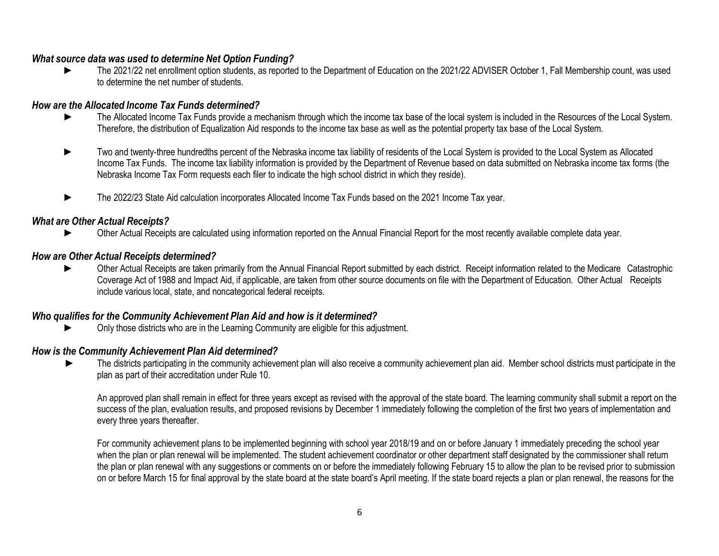#### *What source data was used to determine Net Option Funding?*

The 2021/22 net enrollment option students, as reported to the Department of Education on the 2021/22 ADVISER October 1, Fall Membership count, was used to determine the net number of students.

#### *How are the Allocated Income Tax Funds determined?*

- ► The Allocated Income Tax Funds provide a mechanism through which the income tax base of the local system is included in the Resources of the Local System. Therefore, the distribution of Equalization Aid responds to the income tax base as well as the potential property tax base of the Local System.
- Two and twenty-three hundredths percent of the Nebraska income tax liability of residents of the Local System is provided to the Local System as Allocated Income Tax Funds. The income tax liability information is provided by the Department of Revenue based on data submitted on Nebraska income tax forms (the Nebraska Income Tax Form requests each filer to indicate the high school district in which they reside).
- ► The 2022/23 State Aid calculation incorporates Allocated Income Tax Funds based on the 2021 Income Tax year.

#### *What are Other Actual Receipts?*

Other Actual Receipts are calculated using information reported on the Annual Financial Report for the most recently available complete data year.

#### *How are Other Actual Receipts determined?*

Other Actual Receipts are taken primarily from the Annual Financial Report submitted by each district. Receipt information related to the Medicare Catastrophic Coverage Act of 1988 and Impact Aid, if applicable, are taken from other source documents on file with the Department of Education. Other Actual Receipts include various local, state, and noncategorical federal receipts.

#### *Who qualifies for the Community Achievement Plan Aid and how is it determined?*

Only those districts who are in the Learning Community are eligible for this adjustment.

#### *How is the Community Achievement Plan Aid determined?*

The districts participating in the community achievement plan will also receive a community achievement plan aid. Member school districts must participate in the plan as part of their accreditation under Rule 10.

An approved plan shall remain in effect for three years except as revised with the approval of the state board. The learning community shall submit a report on the success of the plan, evaluation results, and proposed revisions by December 1 immediately following the completion of the first two years of implementation and every three years thereafter.

For community achievement plans to be implemented beginning with school year 2018/19 and on or before January 1 immediately preceding the school year when the plan or plan renewal will be implemented. The student achievement coordinator or other department staff designated by the commissioner shall return the plan or plan renewal with any suggestions or comments on or before the immediately following February 15 to allow the plan to be revised prior to submission on or before March 15 for final approval by the state board at the state board's April meeting. If the state board rejects a plan or plan renewal, the reasons for the